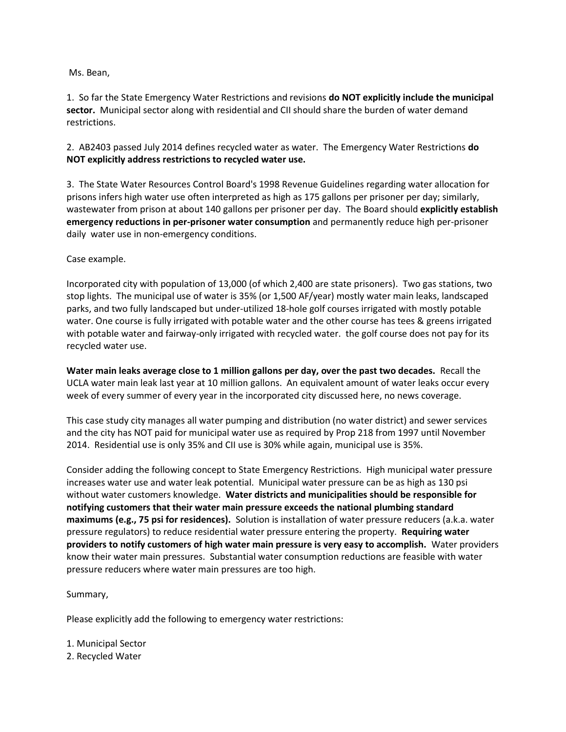## Ms. Bean,

1. So far the State Emergency Water Restrictions and revisions **do NOT explicitly include the municipal sector.** Municipal sector along with residential and CII should share the burden of water demand restrictions.

2. AB2403 passed July 2014 defines recycled water as water. The Emergency Water Restrictions **do NOT explicitly address restrictions to recycled water use.**

3. The State Water Resources Control Board's 1998 Revenue Guidelines regarding water allocation for prisons infers high water use often interpreted as high as 175 gallons per prisoner per day; similarly, wastewater from prison at about 140 gallons per prisoner per day. The Board should **explicitly establish emergency reductions in per-prisoner water consumption** and permanently reduce high per-prisoner daily water use in non-emergency conditions.

Case example.

Incorporated city with population of 13,000 (of which 2,400 are state prisoners). Two gas stations, two stop lights. The municipal use of water is 35% (or 1,500 AF/year) mostly water main leaks, landscaped parks, and two fully landscaped but under-utilized 18-hole golf courses irrigated with mostly potable water. One course is fully irrigated with potable water and the other course has tees & greens irrigated with potable water and fairway-only irrigated with recycled water. the golf course does not pay for its recycled water use.

**Water main leaks average close to 1 million gallons per day, over the past two decades.** Recall the UCLA water main leak last year at 10 million gallons. An equivalent amount of water leaks occur every week of every summer of every year in the incorporated city discussed here, no news coverage.

This case study city manages all water pumping and distribution (no water district) and sewer services and the city has NOT paid for municipal water use as required by Prop 218 from 1997 until November 2014. Residential use is only 35% and CII use is 30% while again, municipal use is 35%.

Consider adding the following concept to State Emergency Restrictions. High municipal water pressure increases water use and water leak potential. Municipal water pressure can be as high as 130 psi without water customers knowledge. **Water districts and municipalities should be responsible for notifying customers that their water main pressure exceeds the national plumbing standard maximums (e.g., 75 psi for residences).** Solution is installation of water pressure reducers (a.k.a. water pressure regulators) to reduce residential water pressure entering the property. **Requiring water providers to notify customers of high water main pressure is very easy to accomplish.** Water providers know their water main pressures. Substantial water consumption reductions are feasible with water pressure reducers where water main pressures are too high.

Summary,

Please explicitly add the following to emergency water restrictions:

1. Municipal Sector

2. Recycled Water